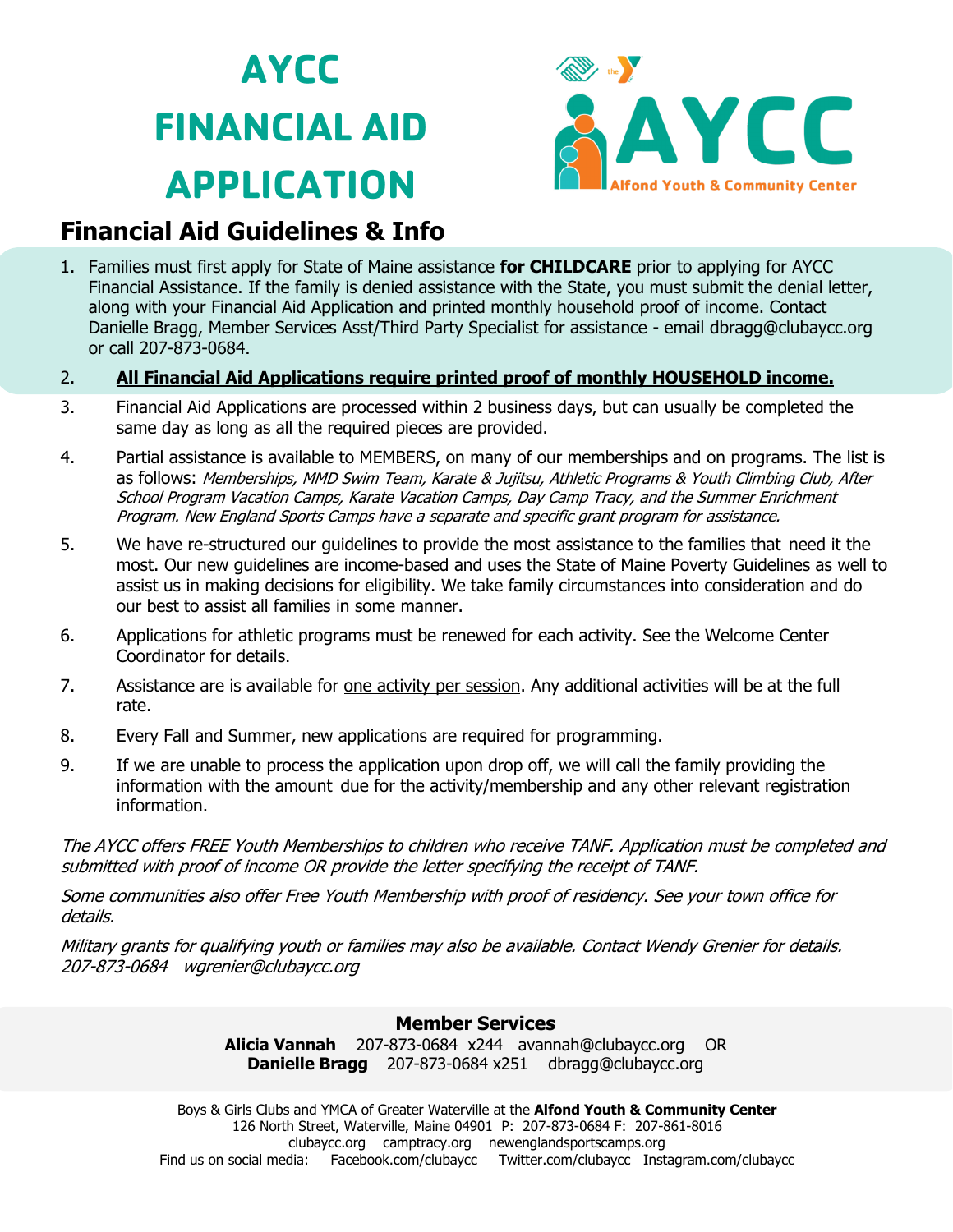# **AYCC FINANCIAL AID APPLICATION**



## **Financial Aid Guidelines & Info**

1. Families must first apply for State of Maine assistance **for CHILDCARE** prior to applying for AYCC Financial Assistance. If the family is denied assistance with the State, you must submit the denial letter, along with your Financial Aid Application and printed monthly household proof of income. Contact Danielle Bragg, Member Services Asst/Third Party Specialist for assistance - email dbragg@clubaycc.org or call 207-873-0684.

#### 2. **All Financial Aid Applications require printed proof of monthly HOUSEHOLD income.**

- 3. Financial Aid Applications are processed within 2 business days, but can usually be completed the same day as long as all the required pieces are provided.
- 4. Partial assistance is available to MEMBERS, on many of our memberships and on programs. The list is as follows: Memberships, MMD Swim Team, Karate & Jujitsu, Athletic Programs & Youth Climbing Club, After School Program Vacation Camps, Karate Vacation Camps, Day Camp Tracy, and the Summer Enrichment Program. New England Sports Camps have a separate and specific grant program for assistance.
- 5. We have re-structured our guidelines to provide the most assistance to the families that need it the most. Our new guidelines are income-based and uses the State of Maine Poverty Guidelines as well to assist us in making decisions for eligibility. We take family circumstances into consideration and do our best to assist all families in some manner.
- 6. Applications for athletic programs must be renewed for each activity. See the Welcome Center Coordinator for details.
- 7. Assistance are is available for one activity per session. Any additional activities will be at the full rate.
- 8. Every Fall and Summer, new applications are required for programming.
- 9. If we are unable to process the application upon drop off, we will call the family providing the information with the amount due for the activity/membership and any other relevant registration information.

The AYCC offers FREE Youth Memberships to children who receive TANF. Application must be completed and submitted with proof of income OR provide the letter specifying the receipt of TANF.

Some communities also offer Free Youth Membership with proof of residency. See your town office for details.

Military grants for qualifying youth or families may also be available. Contact Wendy Grenier for details. 207-873-0684 wgrenier@clubaycc.org

#### **Member Services**

**Alicia Vannah** 207-873-0684 x244 avannah@clubaycc.org OR **Danielle Bragg** 207-873-0684 x251 dbragg@clubaycc.org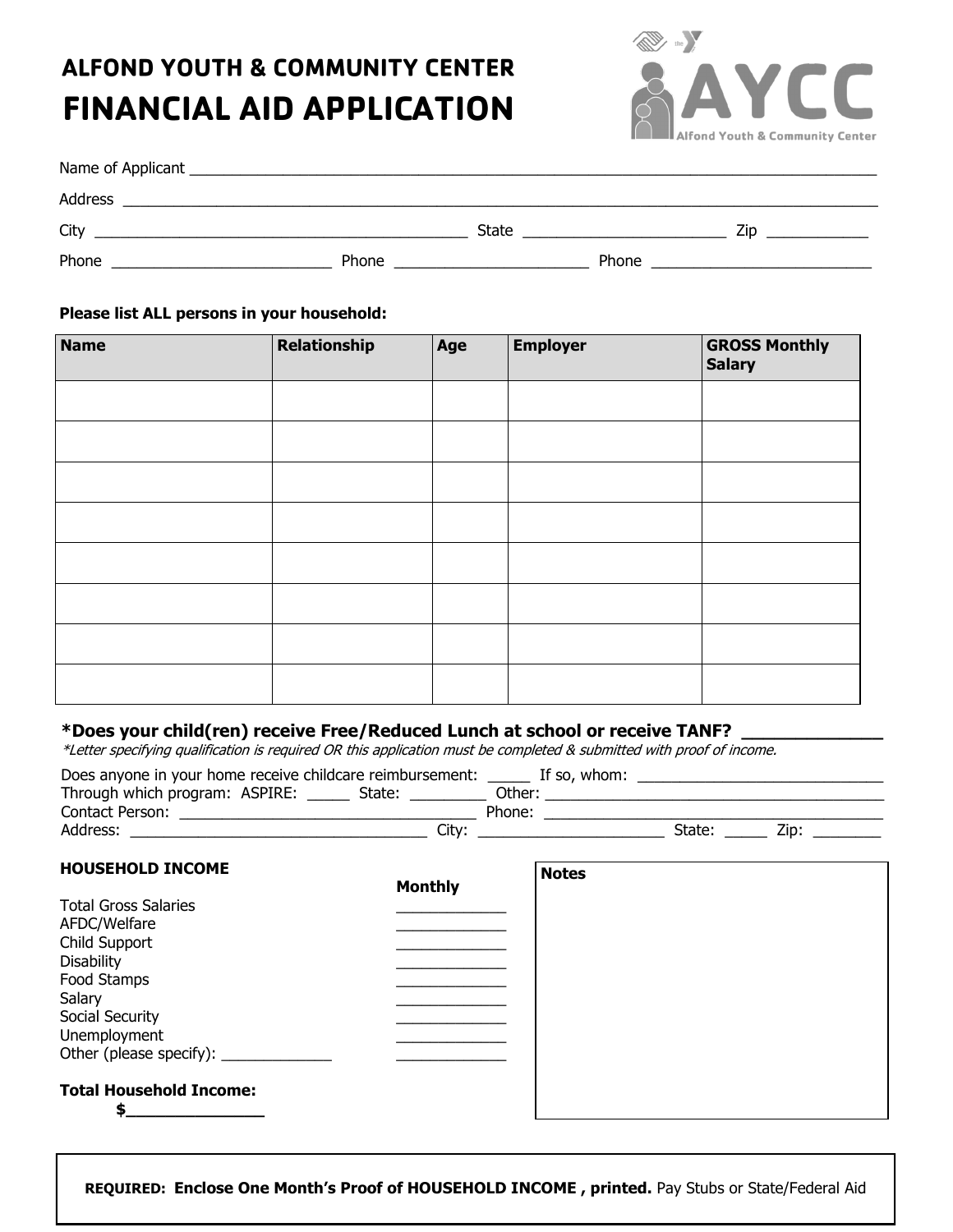# **ALFOND YOUTH & COMMUNITY CENTER FINANCIAL AID APPLICATION**



| Address |       |       |       |     |  |
|---------|-------|-------|-------|-----|--|
| City    |       | State |       | Zin |  |
| Phone   | Phone |       | Phone |     |  |

#### **Please list ALL persons in your household:**

| <b>Name</b> | Relationship | Age | <b>Employer</b> | <b>GROSS Monthly</b><br><b>Salary</b> |
|-------------|--------------|-----|-----------------|---------------------------------------|
|             |              |     |                 |                                       |
|             |              |     |                 |                                       |
|             |              |     |                 |                                       |
|             |              |     |                 |                                       |
|             |              |     |                 |                                       |
|             |              |     |                 |                                       |
|             |              |     |                 |                                       |
|             |              |     |                 |                                       |

#### \*Does your child(ren) receive Free/Reduced Lunch at school or receive TANF?

\*Letter specifying qualification is required OR this application must be completed & submitted with proof of income.

| Does anyone in your home receive childcare reimbursement: |        |        | If so, whom: |        |     |  |
|-----------------------------------------------------------|--------|--------|--------------|--------|-----|--|
| Through which program: ASPIRE:                            | State: | Other: |              |        |     |  |
| Contact Person:                                           |        | Phone: |              |        |     |  |
| Address:                                                  | City:  |        |              | State: | Zip |  |

| <b>HOUSEHOLD INCOME</b>        |                | <b>Notes</b> |
|--------------------------------|----------------|--------------|
|                                | <b>Monthly</b> |              |
| <b>Total Gross Salaries</b>    |                |              |
| AFDC/Welfare                   |                |              |
| Child Support                  |                |              |
| <b>Disability</b>              |                |              |
| Food Stamps                    |                |              |
| Salary                         |                |              |
| Social Security                |                |              |
| Unemployment                   |                |              |
|                                |                |              |
| <b>Total Household Income:</b> |                |              |
|                                |                |              |

**REQUIRED: Enclose One Month's Proof of HOUSEHOLD INCOME , printed.** Pay Stubs or State/Federal Aid